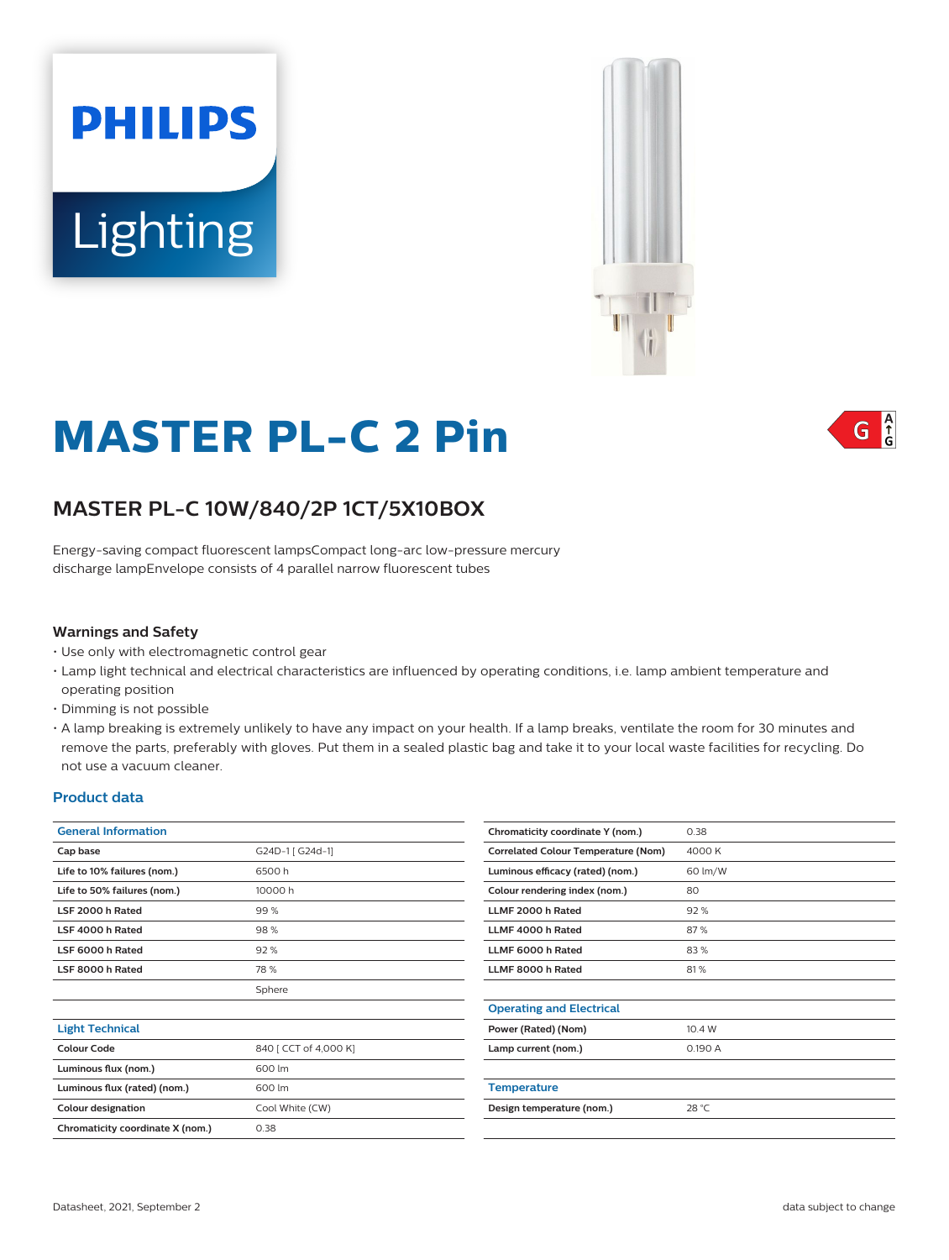



# **MASTER PL-C 2 Pin**

## **MASTER PL-C 10W/840/2P 1CT/5X10BOX**

Energy-saving compact fluorescent lampsCompact long-arc low-pressure mercury discharge lampEnvelope consists of 4 parallel narrow fluorescent tubes

#### **Warnings and Safety**

- Use only with electromagnetic control gear
- Lamp light technical and electrical characteristics are influenced by operating conditions, i.e. lamp ambient temperature and operating position
- Dimming is not possible
- A lamp breaking is extremely unlikely to have any impact on your health. If a lamp breaks, ventilate the room for 30 minutes and remove the parts, preferably with gloves. Put them in a sealed plastic bag and take it to your local waste facilities for recycling. Do not use a vacuum cleaner.

#### **Product data**

| <b>General Information</b>       |                       | Chromaticity coordinate Y (nom.)           | 0.38    |
|----------------------------------|-----------------------|--------------------------------------------|---------|
| Cap base                         | G24D-1 [ G24d-1]      | <b>Correlated Colour Temperature (Nom)</b> | 4000K   |
| Life to 10% failures (nom.)      | 6500h                 | Luminous efficacy (rated) (nom.)           | 60 lm/W |
| Life to 50% failures (nom.)      | 10000 h               | Colour rendering index (nom.)              | 80      |
| LSF 2000 h Rated                 | 99 %                  | LLMF 2000 h Rated                          | 92%     |
| LSF 4000 h Rated                 | 98%                   | LLMF 4000 h Rated                          | 87%     |
| LSF 6000 h Rated                 | 92%                   | LLMF 6000 h Rated                          | 83%     |
| LSF 8000 h Rated                 | 78 %                  | LLMF 8000 h Rated                          | 81%     |
|                                  | Sphere                |                                            |         |
|                                  |                       | <b>Operating and Electrical</b>            |         |
| <b>Light Technical</b>           |                       | Power (Rated) (Nom)                        | 10.4 W  |
| Colour Code                      | 840 [ CCT of 4,000 K] | Lamp current (nom.)                        | 0.190 A |
| Luminous flux (nom.)             | 600 lm                |                                            |         |
| Luminous flux (rated) (nom.)     | 600 lm                | <b>Temperature</b>                         |         |
| <b>Colour designation</b>        | Cool White (CW)       | Design temperature (nom.)                  | 28 °C   |
| Chromaticity coordinate X (nom.) | 0.38                  |                                            |         |
|                                  |                       |                                            |         |

 $\int_{0}^{A}$ G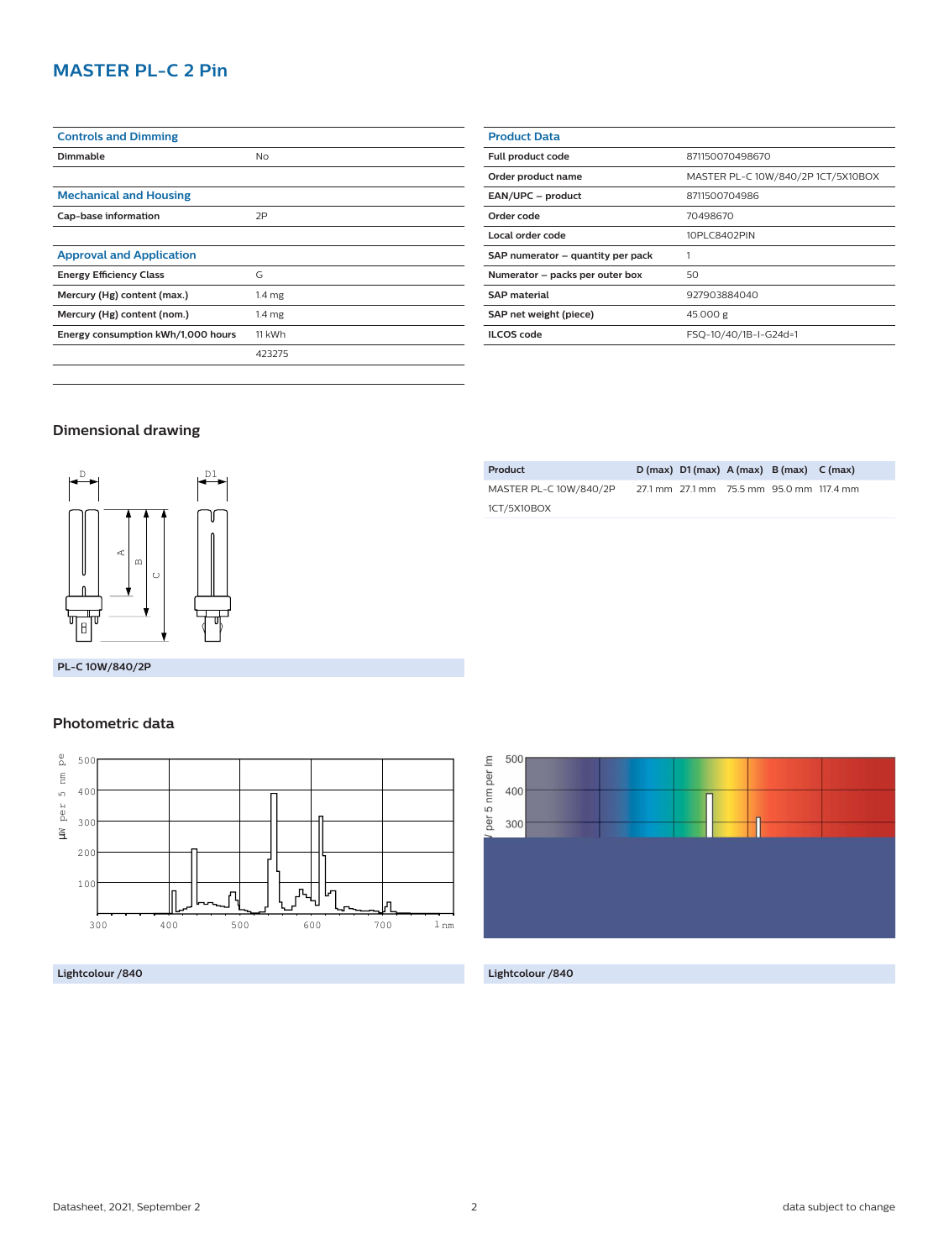## **MASTER PL-C 2 Pin**

| <b>Controls and Dimming</b>        |                   |  |  |
|------------------------------------|-------------------|--|--|
| Dimmable                           | <b>No</b>         |  |  |
|                                    |                   |  |  |
| <b>Mechanical and Housing</b>      |                   |  |  |
| Cap-base information               | 2P                |  |  |
|                                    |                   |  |  |
| <b>Approval and Application</b>    |                   |  |  |
| <b>Energy Efficiency Class</b>     | G                 |  |  |
| Mercury (Hg) content (max.)        | 1.4 <sub>mg</sub> |  |  |
| Mercury (Hg) content (nom.)        | 1.4 <sub>mg</sub> |  |  |
| Energy consumption kWh/1,000 hours | 11 kWh            |  |  |
|                                    | 423275            |  |  |
|                                    |                   |  |  |

| <b>Product Data</b>               |                                    |  |
|-----------------------------------|------------------------------------|--|
| Full product code                 | 871150070498670                    |  |
| Order product name                | MASTER PL-C 10W/840/2P 1CT/5X10BOX |  |
| EAN/UPC - product                 | 8711500704986                      |  |
| Order code                        | 70498670                           |  |
| Local order code                  | 10PLC8402PIN                       |  |
| SAP numerator - quantity per pack |                                    |  |
| Numerator - packs per outer box   | 50                                 |  |
| <b>SAP</b> material               | 927903884040                       |  |
| SAP net weight (piece)            | 45.000 g                           |  |
| <b>ILCOS</b> code                 | FSQ-10/40/1B-I-G24d=1              |  |

**Product D (max) D1 (max) A (max) B (max) C (max)**

27.1 mm 27.1 mm 75.5 mm 95.0 mm 117.4 mm

## **Dimensional drawing**



**PL-C 10W/840/2P**

### **Photometric data**



**Lightcolour /840 Lightcolour /840**



MASTER PL-C 10W/840/2P

1CT/5X10BOX